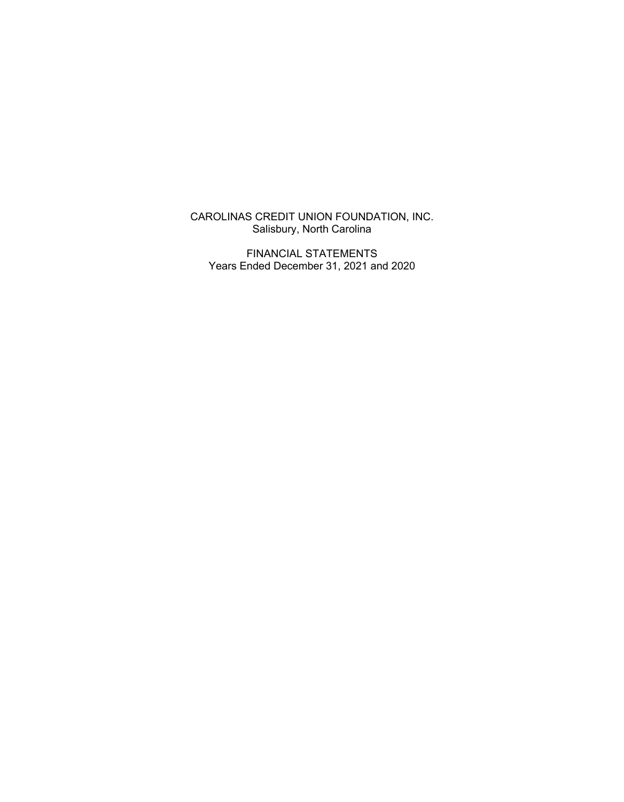FINANCIAL STATEMENTS Years Ended December 31, 2021 and 2020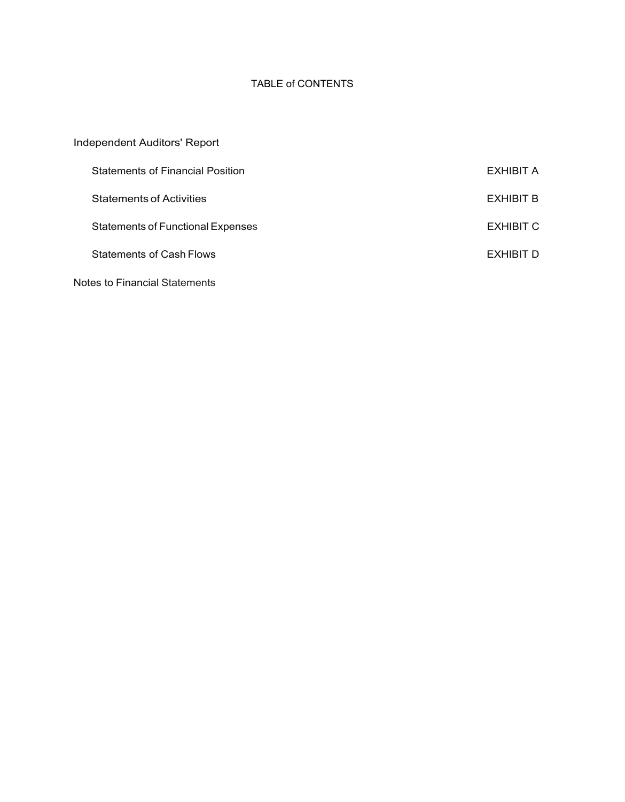# TABLE of CONTENTS

| Independent Auditors' Report             |                  |
|------------------------------------------|------------------|
| <b>Statements of Financial Position</b>  | EXHIBIT A        |
| <b>Statements of Activities</b>          | EXHIBIT B        |
| <b>Statements of Functional Expenses</b> | <b>EXHIBIT C</b> |
| <b>Statements of Cash Flows</b>          | EXHIBIT D        |
| Notes to Financial Statements            |                  |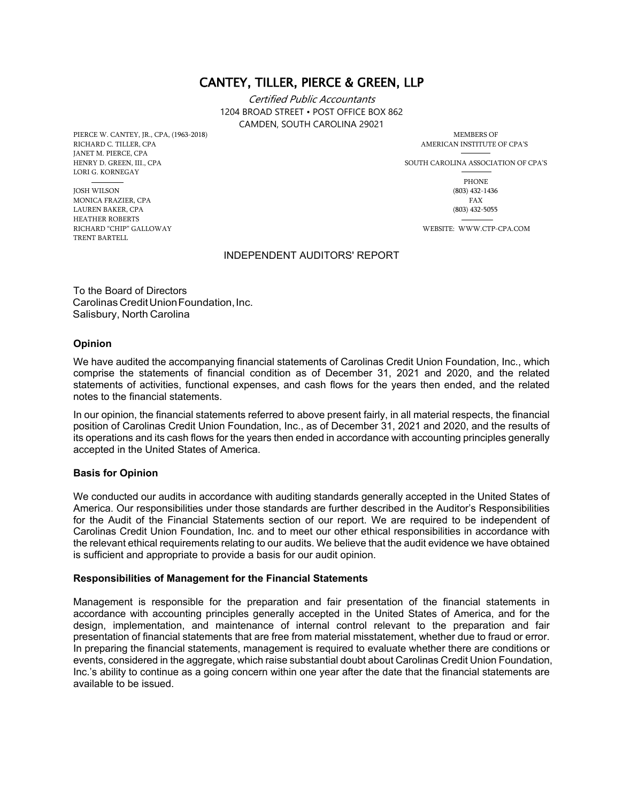# **CANTEY, TILLER, PIERCE & GREEN, LLP**

*Certified Public Accountants* 1204 BROAD STREET • POST OFFICE BOX 862 CAMDEN, SOUTH CAROLINA 29021

PIERCE W. CANTEY, JR., CPA, (1963-2018) MEMBERS OF RICHARD C. TILLER, CPA AMERICAN INSTITUTE OF CPA'S JANET M. PIERCE, CPA LORI G. KORNEGAY

LAUREN BAKER, CPA HEATHER ROBERTS<br>RICHARD "CHIP" GALLOWAY

TRENT BARTELL

HENRY D. GREEN, III., CPA SOUTH CAROLINA ASSOCIATION OF CPA'S

**PHONE** JOSH WILSON (803) 432-1436 MONICA FRAZIER, CPA FAX

WEBSITE: WWW.CTP-CPA.COM

INDEPENDENT AUDITORS' REPORT

To the Board of Directors Carolinas Credit Union Foundation, Inc. Salisbury, North Carolina

#### **Opinion**

We have audited the accompanying financial statements of Carolinas Credit Union Foundation, Inc., which comprise the statements of financial condition as of December 31, 2021 and 2020, and the related statements of activities, functional expenses, and cash flows for the years then ended, and the related notes to the financial statements.

In our opinion, the financial statements referred to above present fairly, in all material respects, the financial position of Carolinas Credit Union Foundation, Inc., as of December 31, 2021 and 2020, and the results of its operations and its cash flows for the years then ended in accordance with accounting principles generally accepted in the United States of America.

### **Basis for Opinion**

We conducted our audits in accordance with auditing standards generally accepted in the United States of America. Our responsibilities under those standards are further described in the Auditor's Responsibilities for the Audit of the Financial Statements section of our report. We are required to be independent of Carolinas Credit Union Foundation, Inc. and to meet our other ethical responsibilities in accordance with the relevant ethical requirements relating to our audits. We believe that the audit evidence we have obtained is sufficient and appropriate to provide a basis for our audit opinion.

#### **Responsibilities of Management for the Financial Statements**

Management is responsible for the preparation and fair presentation of the financial statements in accordance with accounting principles generally accepted in the United States of America, and for the design, implementation, and maintenance of internal control relevant to the preparation and fair presentation of financial statements that are free from material misstatement, whether due to fraud or error. In preparing the financial statements, management is required to evaluate whether there are conditions or events, considered in the aggregate, which raise substantial doubt about Carolinas Credit Union Foundation, Inc.'s ability to continue as a going concern within one year after the date that the financial statements are available to be issued.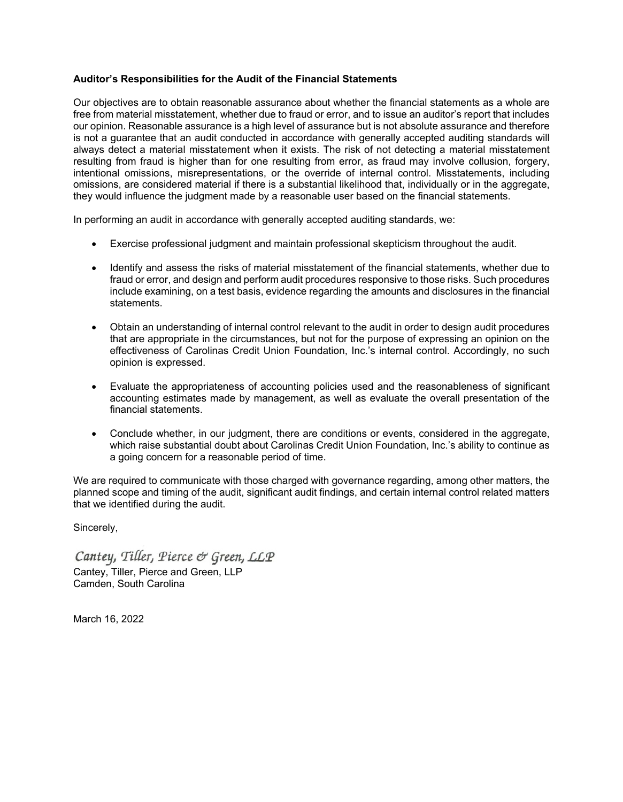# **Auditor's Responsibilities for the Audit of the Financial Statements**

Our objectives are to obtain reasonable assurance about whether the financial statements as a whole are free from material misstatement, whether due to fraud or error, and to issue an auditor's report that includes our opinion. Reasonable assurance is a high level of assurance but is not absolute assurance and therefore is not a guarantee that an audit conducted in accordance with generally accepted auditing standards will always detect a material misstatement when it exists. The risk of not detecting a material misstatement resulting from fraud is higher than for one resulting from error, as fraud may involve collusion, forgery, intentional omissions, misrepresentations, or the override of internal control. Misstatements, including omissions, are considered material if there is a substantial likelihood that, individually or in the aggregate, they would influence the judgment made by a reasonable user based on the financial statements.

In performing an audit in accordance with generally accepted auditing standards, we:

- Exercise professional judgment and maintain professional skepticism throughout the audit.
- Identify and assess the risks of material misstatement of the financial statements, whether due to fraud or error, and design and perform audit procedures responsive to those risks. Such procedures include examining, on a test basis, evidence regarding the amounts and disclosures in the financial statements.
- Obtain an understanding of internal control relevant to the audit in order to design audit procedures that are appropriate in the circumstances, but not for the purpose of expressing an opinion on the effectiveness of Carolinas Credit Union Foundation, Inc.'s internal control. Accordingly, no such opinion is expressed.
- Evaluate the appropriateness of accounting policies used and the reasonableness of significant accounting estimates made by management, as well as evaluate the overall presentation of the financial statements.
- Conclude whether, in our judgment, there are conditions or events, considered in the aggregate, which raise substantial doubt about Carolinas Credit Union Foundation, Inc.'s ability to continue as a going concern for a reasonable period of time.

We are required to communicate with those charged with governance regarding, among other matters, the planned scope and timing of the audit, significant audit findings, and certain internal control related matters that we identified during the audit.

Sincerely,

Cantey, Tiller, Pierce & Green, LLP Cantey, Tiller, Pierce and Green, LLP Camden, South Carolina

March 16, 2022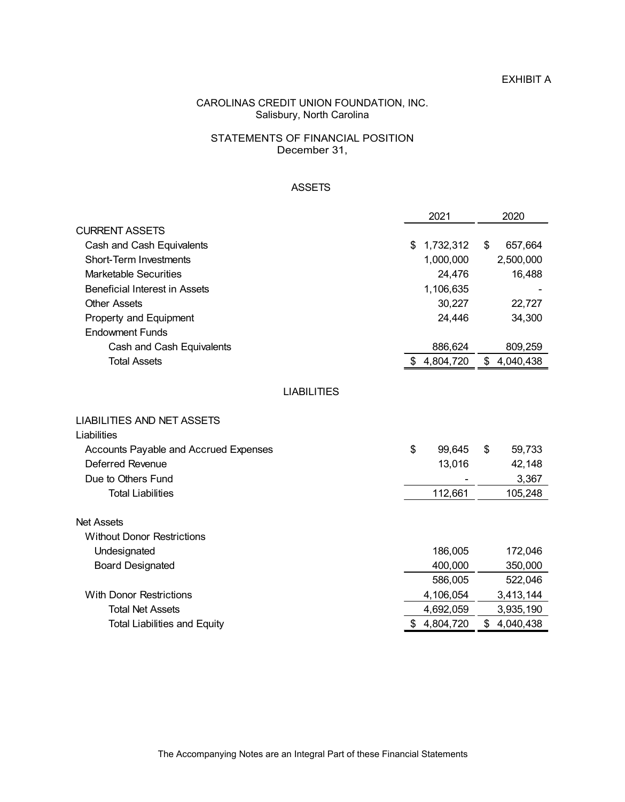# STATEMENTS OF FINANCIAL POSITION December 31,

# ASSETS

|                                       | 2021            | 2020            |
|---------------------------------------|-----------------|-----------------|
| <b>CURRENT ASSETS</b>                 |                 |                 |
| Cash and Cash Equivalents             | 1,732,312<br>\$ | \$<br>657,664   |
| <b>Short-Term Investments</b>         | 1,000,000       | 2,500,000       |
| <b>Marketable Securities</b>          | 24,476          | 16,488          |
| <b>Beneficial Interest in Assets</b>  | 1,106,635       |                 |
| <b>Other Assets</b>                   | 30,227          | 22,727          |
| Property and Equipment                | 24,446          | 34,300          |
| <b>Endowment Funds</b>                |                 |                 |
| Cash and Cash Equivalents             | 886,624         | 809,259         |
| <b>Total Assets</b>                   | 4,804,720<br>\$ | \$<br>4,040,438 |
| <b>LIABILITIES</b>                    |                 |                 |
| <b>LIABILITIES AND NET ASSETS</b>     |                 |                 |
| Liabilities                           |                 |                 |
| Accounts Payable and Accrued Expenses | \$<br>99,645    | \$<br>59,733    |
| Deferred Revenue                      | 13,016          | 42,148          |
| Due to Others Fund                    |                 | 3,367           |
| <b>Total Liabilities</b>              | 112,661         | 105,248         |
| <b>Net Assets</b>                     |                 |                 |
| <b>Without Donor Restrictions</b>     |                 |                 |
| Undesignated                          | 186,005         | 172,046         |
| <b>Board Designated</b>               | 400,000         | 350,000         |
|                                       | 586,005         | 522,046         |
| <b>With Donor Restrictions</b>        | 4,106,054       | 3,413,144       |
| <b>Total Net Assets</b>               | 4,692,059       | 3,935,190       |
| <b>Total Liabilities and Equity</b>   | 4,804,720<br>\$ | \$<br>4,040,438 |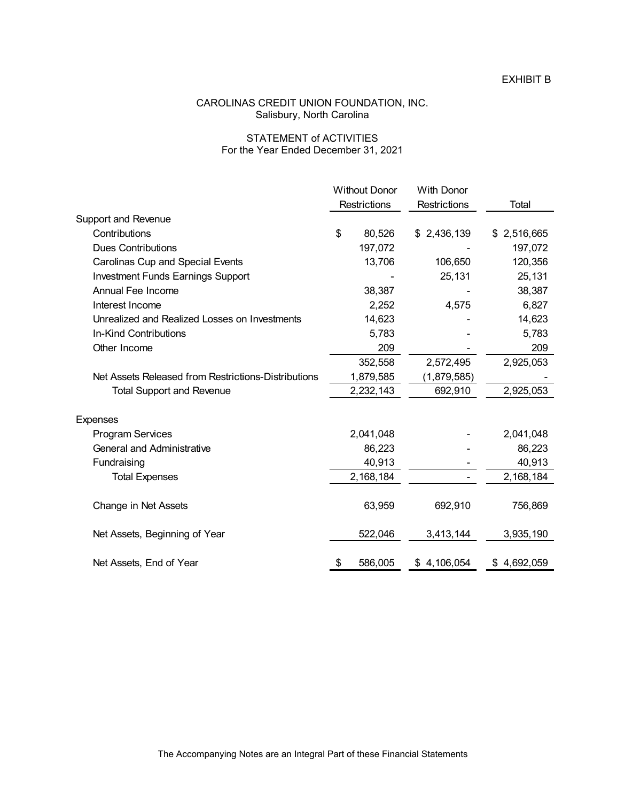# STATEMENT of ACTIVITIES For the Year Ended December 31, 2021

|                                                     | <b>Without Donor</b> |              | <b>With Donor</b> |             |
|-----------------------------------------------------|----------------------|--------------|-------------------|-------------|
|                                                     |                      | Restrictions | Restrictions      | Total       |
| <b>Support and Revenue</b>                          |                      |              |                   |             |
| Contributions                                       | \$                   | 80,526       | \$2,436,139       | \$2,516,665 |
| <b>Dues Contributions</b>                           |                      | 197,072      |                   | 197,072     |
| <b>Carolinas Cup and Special Events</b>             |                      | 13,706       | 106,650           | 120,356     |
| <b>Investment Funds Earnings Support</b>            |                      |              | 25,131            | 25,131      |
| Annual Fee Income                                   |                      | 38,387       |                   | 38,387      |
| Interest Income                                     |                      | 2,252        | 4,575             | 6,827       |
| Unrealized and Realized Losses on Investments       |                      | 14,623       |                   | 14,623      |
| <b>In-Kind Contributions</b>                        |                      | 5,783        |                   | 5,783       |
| Other Income                                        |                      | 209          |                   | 209         |
|                                                     |                      | 352,558      | 2,572,495         | 2,925,053   |
| Net Assets Released from Restrictions-Distributions |                      | 1,879,585    | (1,879,585)       |             |
| <b>Total Support and Revenue</b>                    |                      | 2,232,143    | 692,910           | 2,925,053   |
|                                                     |                      |              |                   |             |
| Expenses                                            |                      |              |                   |             |
| <b>Program Services</b>                             |                      | 2,041,048    |                   | 2,041,048   |
| <b>General and Administrative</b>                   |                      | 86,223       |                   | 86,223      |
| Fundraising                                         |                      | 40,913       |                   | 40,913      |
| <b>Total Expenses</b>                               |                      | 2,168,184    |                   | 2,168,184   |
|                                                     |                      |              |                   |             |
| Change in Net Assets                                |                      | 63,959       | 692,910           | 756,869     |
|                                                     |                      |              |                   |             |
| Net Assets, Beginning of Year                       |                      | 522,046      | 3,413,144         | 3,935,190   |
|                                                     |                      |              |                   |             |
| Net Assets, End of Year                             | \$                   | 586,005      | \$4,106,054       | \$4,692,059 |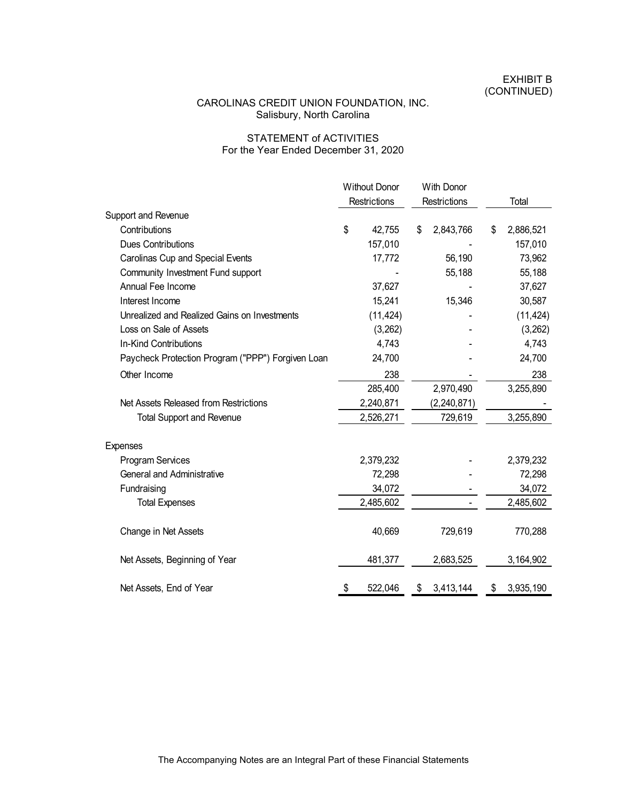# STATEMENT of ACTIVITIES For the Year Ended December 31, 2020

|                                                   | <b>Without Donor</b> |              | <b>With Donor</b> |                 |
|---------------------------------------------------|----------------------|--------------|-------------------|-----------------|
|                                                   | Restrictions         | Restrictions |                   | Total           |
| Support and Revenue                               |                      |              |                   |                 |
| Contributions                                     | \$<br>42,755         | \$           | 2,843,766         | \$<br>2,886,521 |
| <b>Dues Contributions</b>                         | 157,010              |              |                   | 157,010         |
| Carolinas Cup and Special Events                  | 17,772               |              | 56,190            | 73,962          |
| Community Investment Fund support                 |                      |              | 55,188            | 55,188          |
| Annual Fee Income                                 | 37,627               |              |                   | 37,627          |
| Interest Income                                   | 15,241               |              | 15,346            | 30,587          |
| Unrealized and Realized Gains on Investments      | (11, 424)            |              |                   | (11, 424)       |
| Loss on Sale of Assets                            | (3,262)              |              |                   | (3,262)         |
| In-Kind Contributions                             | 4,743                |              |                   | 4,743           |
| Paycheck Protection Program ("PPP") Forgiven Loan | 24,700               |              |                   | 24,700          |
| Other Income                                      | 238                  |              |                   | 238             |
|                                                   | 285,400              |              | 2,970,490         | 3,255,890       |
| Net Assets Released from Restrictions             | 2,240,871            |              | (2, 240, 871)     |                 |
| <b>Total Support and Revenue</b>                  | 2,526,271            |              | 729,619           | 3,255,890       |
| Expenses                                          |                      |              |                   |                 |
| Program Services                                  | 2,379,232            |              |                   | 2,379,232       |
| General and Administrative                        | 72,298               |              |                   | 72,298          |
| Fundraising                                       | 34,072               |              |                   | 34,072          |
| <b>Total Expenses</b>                             | 2,485,602            |              |                   | 2,485,602       |
| Change in Net Assets                              | 40,669               |              | 729,619           | 770,288         |
| Net Assets, Beginning of Year                     | 481,377              |              | 2,683,525         | 3,164,902       |
| Net Assets, End of Year                           | \$<br>522,046        | \$           | 3,413,144         | \$<br>3,935,190 |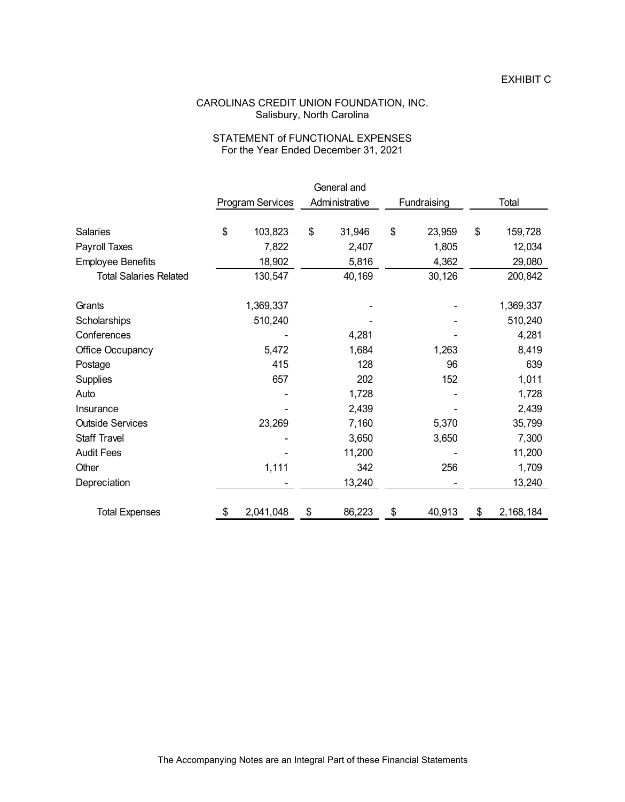# STATEMENT of FUNCTIONAL EXPENSES For the Year Ended December 31, 2021

|                               | General and |                  |    |                |             |        |       |           |
|-------------------------------|-------------|------------------|----|----------------|-------------|--------|-------|-----------|
|                               |             | Program Services |    | Administrative | Fundraising |        | Total |           |
|                               |             |                  |    |                |             |        |       |           |
| <b>Salaries</b>               | \$          | 103,823          | \$ | 31,946         | \$          | 23,959 | \$    | 159,728   |
| Payroll Taxes                 |             | 7,822            |    | 2,407          |             | 1,805  |       | 12,034    |
| <b>Employee Benefits</b>      |             | 18,902           |    | 5,816          |             | 4,362  |       | 29,080    |
| <b>Total Salaries Related</b> |             | 130,547          |    | 40,169         |             | 30,126 |       | 200,842   |
| Grants                        |             | 1,369,337        |    |                |             |        |       | 1,369,337 |
| Scholarships                  |             | 510,240          |    |                |             |        |       | 510,240   |
| Conferences                   |             |                  |    | 4,281          |             |        |       | 4,281     |
| Office Occupancy              |             | 5,472            |    | 1,684          |             | 1,263  |       | 8,419     |
| Postage                       |             | 415              |    | 128            |             | 96     |       | 639       |
| Supplies                      |             | 657              |    | 202            |             | 152    |       | 1,011     |
| Auto                          |             |                  |    | 1,728          |             |        |       | 1,728     |
| Insurance                     |             |                  |    | 2,439          |             |        |       | 2,439     |
| <b>Outside Services</b>       |             | 23,269           |    | 7,160          |             | 5,370  |       | 35,799    |
| <b>Staff Travel</b>           |             |                  |    | 3,650          |             | 3,650  |       | 7,300     |
| <b>Audit Fees</b>             |             |                  |    | 11,200         |             |        |       | 11,200    |
| Other                         |             | 1,111            |    | 342            |             | 256    |       | 1,709     |
| Depreciation                  |             |                  |    | 13,240         |             |        |       | 13,240    |
| <b>Total Expenses</b>         | S           | 2,041,048        | \$ | 86,223         | \$          | 40,913 | \$    | 2,168,184 |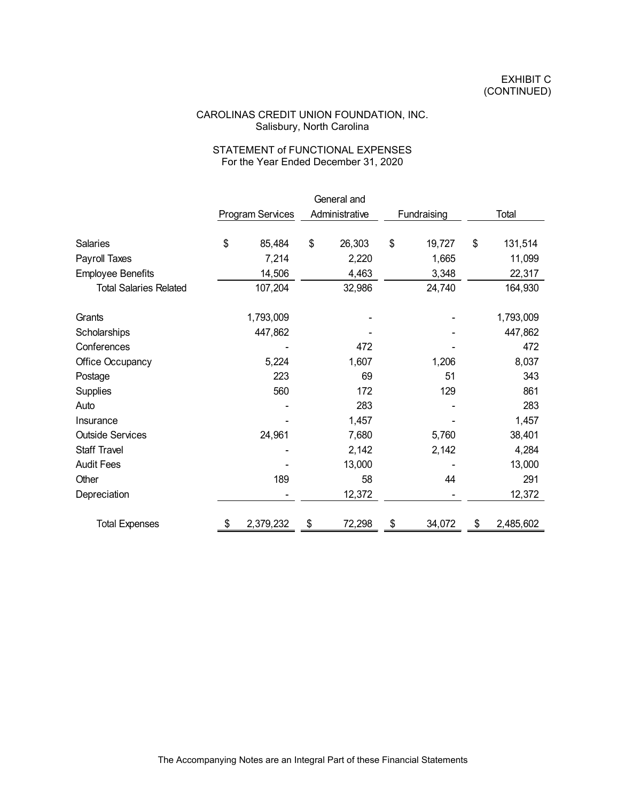# STATEMENT of FUNCTIONAL EXPENSES For the Year Ended December 31, 2020

|                               |    |                                    |    | General and |    |             |    |           |  |  |
|-------------------------------|----|------------------------------------|----|-------------|----|-------------|----|-----------|--|--|
|                               |    | Administrative<br>Program Services |    |             |    | Fundraising |    | Total     |  |  |
| <b>Salaries</b>               | \$ | 85,484                             | \$ | 26,303      | \$ | 19,727      | \$ | 131,514   |  |  |
| Payroll Taxes                 |    | 7,214                              |    | 2,220       |    | 1,665       |    | 11,099    |  |  |
| <b>Employee Benefits</b>      |    | 14,506                             |    | 4,463       |    | 3,348       |    | 22,317    |  |  |
| <b>Total Salaries Related</b> |    | 107,204                            |    | 32,986      |    | 24,740      |    | 164,930   |  |  |
| Grants                        |    | 1,793,009                          |    |             |    |             |    | 1,793,009 |  |  |
| Scholarships                  |    | 447,862                            |    |             |    |             |    | 447,862   |  |  |
| Conferences                   |    |                                    |    | 472         |    |             |    | 472       |  |  |
| Office Occupancy              |    | 5,224                              |    | 1,607       |    | 1,206       |    | 8,037     |  |  |
| Postage                       |    | 223                                |    | 69          |    | 51          |    | 343       |  |  |
| Supplies                      |    | 560                                |    | 172         |    | 129         |    | 861       |  |  |
| Auto                          |    |                                    |    | 283         |    |             |    | 283       |  |  |
| Insurance                     |    |                                    |    | 1,457       |    |             |    | 1,457     |  |  |
| <b>Outside Services</b>       |    | 24,961                             |    | 7,680       |    | 5,760       |    | 38,401    |  |  |
| <b>Staff Travel</b>           |    |                                    |    | 2,142       |    | 2,142       |    | 4,284     |  |  |
| <b>Audit Fees</b>             |    |                                    |    | 13,000      |    |             |    | 13,000    |  |  |
| Other                         |    | 189                                |    | 58          |    | 44          |    | 291       |  |  |
| Depreciation                  |    |                                    |    | 12,372      |    |             |    | 12,372    |  |  |
| <b>Total Expenses</b>         | S  | 2,379,232                          | \$ | 72,298      | \$ | 34,072      | \$ | 2,485,602 |  |  |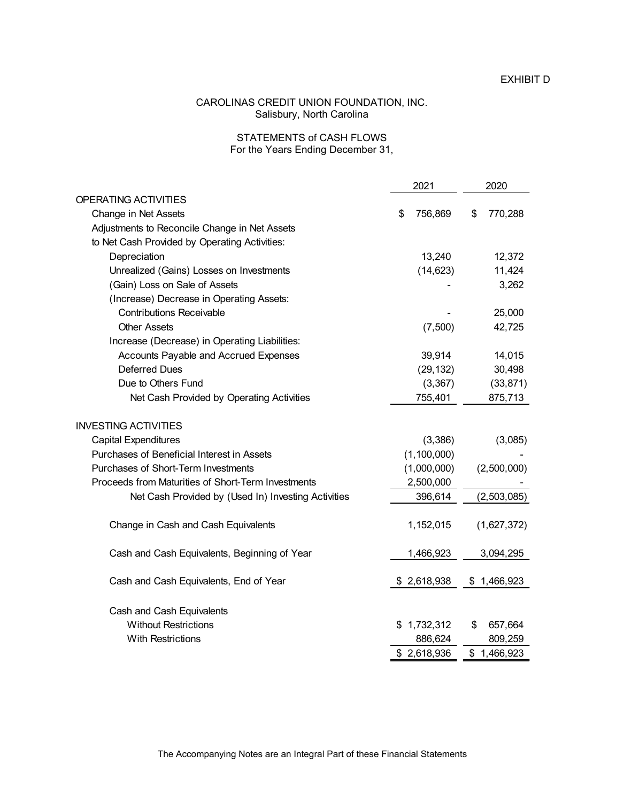# STATEMENTS of CASH FLOWS For the Years Ending December 31,

|                                                     |    | 2021          |    | 2020        |
|-----------------------------------------------------|----|---------------|----|-------------|
| OPERATING ACTIVITIES                                |    |               |    |             |
| Change in Net Assets                                | \$ | 756,869       | S  | 770,288     |
| Adjustments to Reconcile Change in Net Assets       |    |               |    |             |
| to Net Cash Provided by Operating Activities:       |    |               |    |             |
| Depreciation                                        |    | 13,240        |    | 12,372      |
| Unrealized (Gains) Losses on Investments            |    | (14, 623)     |    | 11,424      |
| (Gain) Loss on Sale of Assets                       |    |               |    | 3,262       |
| (Increase) Decrease in Operating Assets:            |    |               |    |             |
| <b>Contributions Receivable</b>                     |    |               |    | 25,000      |
| <b>Other Assets</b>                                 |    | (7,500)       |    | 42,725      |
| Increase (Decrease) in Operating Liabilities:       |    |               |    |             |
| Accounts Payable and Accrued Expenses               |    | 39,914        |    | 14,015      |
| <b>Deferred Dues</b>                                |    | (29, 132)     |    | 30,498      |
| Due to Others Fund                                  |    | (3, 367)      |    | (33, 871)   |
| Net Cash Provided by Operating Activities           |    | 755,401       |    | 875,713     |
|                                                     |    |               |    |             |
| <b>INVESTING ACTIVITIES</b>                         |    |               |    |             |
| <b>Capital Expenditures</b>                         |    | (3,386)       |    | (3,085)     |
| Purchases of Beneficial Interest in Assets          |    | (1, 100, 000) |    |             |
| Purchases of Short-Term Investments                 |    | (1,000,000)   |    | (2,500,000) |
| Proceeds from Maturities of Short-Term Investments  |    | 2,500,000     |    |             |
| Net Cash Provided by (Used In) Investing Activities |    | 396,614       |    | (2,503,085) |
| Change in Cash and Cash Equivalents                 |    | 1,152,015     |    | (1,627,372) |
| Cash and Cash Equivalents, Beginning of Year        |    | 1,466,923     |    | 3,094,295   |
| Cash and Cash Equivalents, End of Year              |    | \$2,618,938   |    | \$1,466,923 |
| Cash and Cash Equivalents                           |    |               |    |             |
| <b>Without Restrictions</b>                         | S  | 1,732,312     | \$ | 657,664     |
| With Restrictions                                   |    |               |    | 809,259     |
|                                                     |    | 886,624       |    |             |
|                                                     |    | \$2,618,936   |    | \$1,466,923 |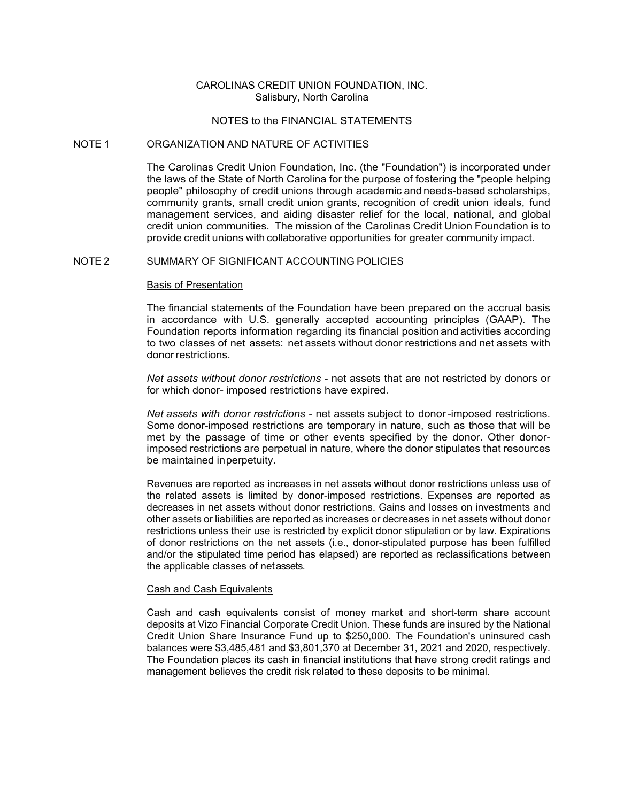#### NOTES to the FINANCIAL STATEMENTS

#### NOTE 1 ORGANIZATION AND NATURE OF ACTIVITIES

The Carolinas Credit Union Foundation, Inc. (the "Foundation") is incorporated under the laws of the State of North Carolina for the purpose of fostering the "people helping people" philosophy of credit unions through academic andneeds-based scholarships, community grants, small credit union grants, recognition of credit union ideals, fund management services, and aiding disaster relief for the local, national, and global credit union communities. The mission of the Carolinas Credit Union Foundation is to provide credit unions with collaborative opportunities for greater community impact.

### NOTE 2 SUMMARY OF SIGNIFICANT ACCOUNTING POLICIES

#### Basis of Presentation

The financial statements of the Foundation have been prepared on the accrual basis in accordance with U.S. generally accepted accounting principles (GAAP). The Foundation reports information regarding its financial positionandactivities according to two classes of net assets: net assets without donor restrictions and net assets with donorrestrictions.

*Net assets without donor restrictions* - net assets that are not restricted by donors or for which donor- imposed restrictions have expired.

*Net assets with donor restrictions* - net assets subject to donor -imposed restrictions. Some donor-imposed restrictions are temporary in nature, such as those that will be met by the passage of time or other events specified by the donor. Other donorimposed restrictions are perpetual in nature, where the donor stipulates that resources be maintained inperpetuity.

Revenues are reported as increases in net assets without donor restrictions unless use of the related assets is limited by donor-imposed restrictions. Expenses are reported as decreases in net assets without donor restrictions. Gains and losses on investments and other assets or liabilities are reported as increases or decreases in net assets without donor restrictions unless their use is restricted by explicit donor stipulation or by law. Expirations of donor restrictions on the net assets (i.e., donor-stipulated purpose has been fulfilled and/or the stipulated time period has elapsed) are reported as reclassifications between the applicable classes of net assets.

#### Cash and Cash Equivalents

Cash and cash equivalents consist of money market and short-term share account deposits at Vizo Financial Corporate Credit Union. These funds are insured by the National Credit Union Share Insurance Fund up to \$250,000. The Foundation's uninsured cash balances were \$3,485,481 and \$3,801,370 at December 31, 2021 and 2020, respectively. The Foundation places its cash in financial institutions that have strong credit ratings and management believes the credit risk related to these deposits to be minimal.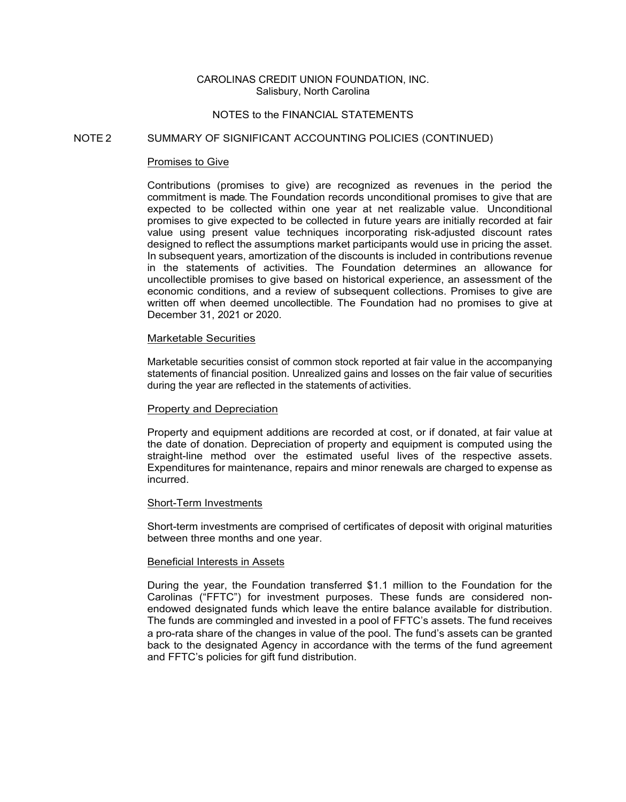### NOTES to the FINANCIAL STATEMENTS

### NOTE 2 SUMMARY OF SIGNIFICANT ACCOUNTING POLICIES (CONTINUED)

### Promises to Give

Contributions (promises to give) are recognized as revenues in the period the commitment is made. The Foundation records unconditional promises to give that are expected to be collected within one year at net realizable value. Unconditional promises to give expected to be collected in future years are initially recorded at fair value using present value techniques incorporating risk-adjusted discount rates designed to reflect the assumptions market participants would use in pricing the asset. In subsequent years, amortization of the discounts is included in contributions revenue in the statements of activities. The Foundation determines an allowance for uncollectible promises to give based on historical experience, an assessment of the economic conditions, and a review of subsequent collections. Promises to give are written off when deemed uncollectible. The Foundation had no promises to give at December 31, 2021 or 2020.

#### Marketable Securities

Marketable securities consist of common stock reported at fair value in the accompanying statements of financial position. Unrealized gains and losses on the fair value of securities during the year are reflected in the statements of activities.

### Property and Depreciation

Property and equipment additions are recorded at cost, or if donated, at fair value at the date of donation. Depreciation of property and equipment is computed using the straight-line method over the estimated useful lives of the respective assets. Expenditures for maintenance, repairs and minor renewals are charged to expense as incurred.

#### Short-Term Investments

Short-term investments are comprised of certificates of deposit with original maturities between three months and one year.

### Beneficial Interests in Assets

During the year, the Foundation transferred \$1.1 million to the Foundation for the Carolinas ("FFTC") for investment purposes. These funds are considered nonendowed designated funds which leave the entire balance available for distribution. The funds are commingled and invested in a pool of FFTC's assets. The fund receives a pro-rata share of the changes in value of the pool. The fund's assets can be granted back to the designated Agency in accordance with the terms of the fund agreement and FFTC's policies for gift fund distribution.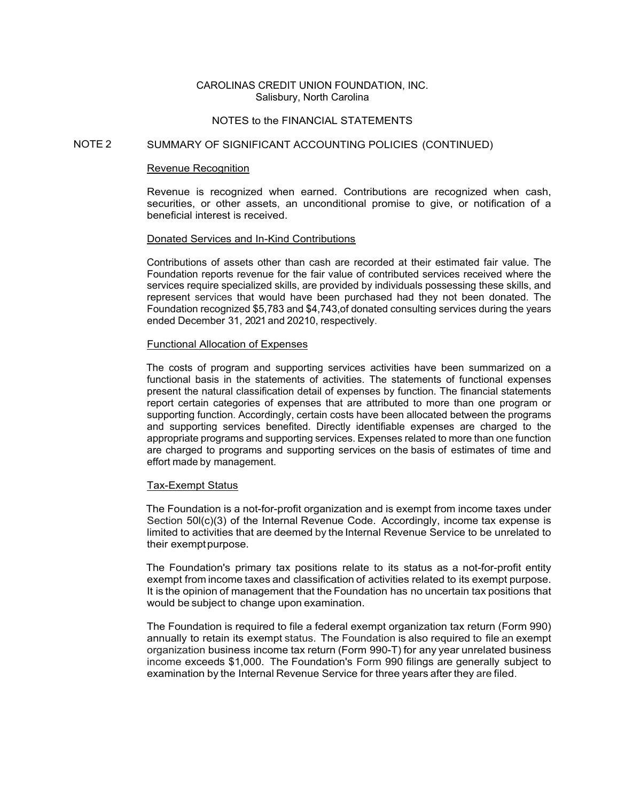# NOTES to the FINANCIAL STATEMENTS

# NOTE 2 SUMMARY OF SIGNIFICANT ACCOUNTING POLICIES (CONTINUED)

#### Revenue Recognition

Revenue is recognized when earned. Contributions are recognized when cash, securities, or other assets, an unconditional promise to give, or notification of a beneficial interest is received.

#### Donated Services and In-Kind Contributions

Contributions of assets other than cash are recorded at their estimated fair value. The Foundation reports revenue for the fair value of contributed services received where the services require specialized skills, are provided by individuals possessing these skills, and represent services that would have been purchased had they not been donated. The Foundation recognized \$5,783 and \$4,743,of donated consulting services during the years ended December 31, 2021 and 20210, respectively.

#### Functional Allocation of Expenses

The costs of program and supporting services activities have been summarized on a functional basis in the statements of activities. The statements of functional expenses present the natural classification detail of expenses by function. The financial statements report certain categories of expenses that are attributed to more than one program or supporting function. Accordingly, certain costs have been allocated between the programs and supporting services benefited. Directly identifiable expenses are charged to the appropriate programs and supporting services. Expenses related to more than one function are charged to programs and supporting services on the basis of estimates of time and effort made by management.

#### Tax-Exempt Status

The Foundation is a not-for-profit organization and is exempt from income taxes under Section 50l(c)(3) of the Internal Revenue Code. Accordingly, income tax expense is limited to activities that are deemed by the Internal Revenue Service to be unrelated to their exempt purpose.

The Foundation's primary tax positions relate to its status as a not-for-profit entity exempt from income taxes and classification of activities related to its exempt purpose. It is the opinion of management that the Foundation has no uncertain tax positions that would be subject to change upon examination.

The Foundation is required to file a federal exempt organization tax return (Form 990) annually to retain its exempt status. The Foundation is also required to file an exempt organization business income tax return (Form 990-T) for any year unrelated business income exceeds \$1,000. The Foundation's Form 990 filings are generally subject to examination by the Internal Revenue Service for three years after they are filed.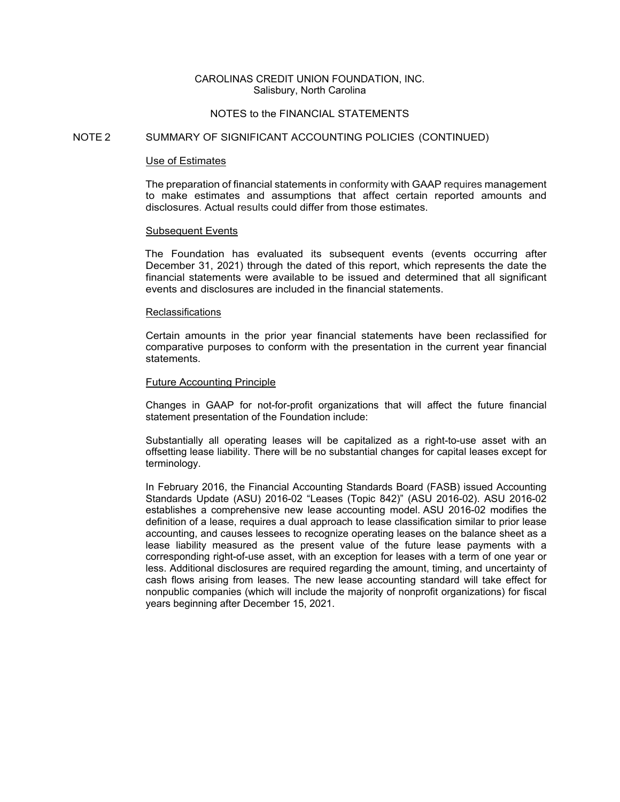### NOTES to the FINANCIAL STATEMENTS

### NOTE 2 SUMMARY OF SIGNIFICANT ACCOUNTING POLICIES (CONTINUED)

#### Use of Estimates

The preparation of financial statements in conformity with GAAP requires management to make estimates and assumptions that affect certain reported amounts and disclosures. Actual results could differ from those estimates.

#### Subsequent Events

The Foundation has evaluated its subsequent events (events occurring after December 31, 2021) through the dated of this report, which represents the date the financial statements were available to be issued and determined that all significant events and disclosures are included in the financial statements.

#### **Reclassifications**

Certain amounts in the prior year financial statements have been reclassified for comparative purposes to conform with the presentation in the current year financial statements.

#### Future Accounting Principle

Changes in GAAP for not-for-profit organizations that will affect the future financial statement presentation of the Foundation include:

 Substantially all operating leases will be capitalized as a right-to-use asset with an offsetting lease liability. There will be no substantial changes for capital leases except for terminology.

In February 2016, the Financial Accounting Standards Board (FASB) issued Accounting Standards Update (ASU) 2016-02 "Leases (Topic 842)" (ASU 2016-02). ASU 2016-02 establishes a comprehensive new lease accounting model. ASU 2016-02 modifies the definition of a lease, requires a dual approach to lease classification similar to prior lease accounting, and causes lessees to recognize operating leases on the balance sheet as a lease liability measured as the present value of the future lease payments with a corresponding right-of-use asset, with an exception for leases with a term of one year or less. Additional disclosures are required regarding the amount, timing, and uncertainty of cash flows arising from leases. The new lease accounting standard will take effect for nonpublic companies (which will include the majority of nonprofit organizations) for fiscal years beginning after December 15, 2021.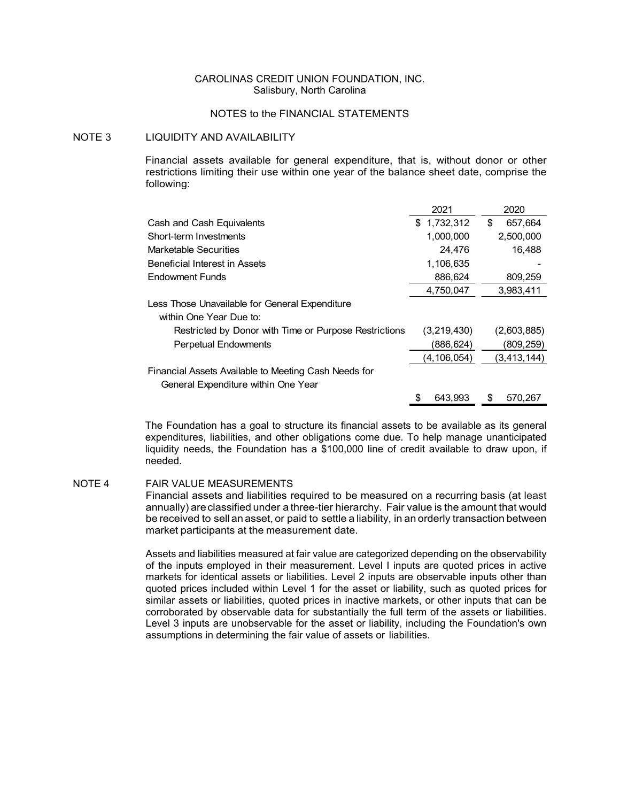# NOTES to the FINANCIAL STATEMENTS

### NOTE 3 LIQUIDITY AND AVAILABILITY

Financial assets available for general expenditure, that is, without donor or other restrictions limiting their use within one year of the balance sheet date, comprise the following:

|                                                       | 2021          |    | 2020        |
|-------------------------------------------------------|---------------|----|-------------|
| Cash and Cash Equivalents                             | \$1,732,312   | \$ | 657,664     |
| Short-term Investments                                | 1,000,000     |    | 2,500,000   |
| Marketable Securities                                 | 24.476        |    | 16,488      |
| Beneficial Interest in Assets                         | 1,106,635     |    |             |
| Endowment Funds                                       | 886,624       |    | 809,259     |
|                                                       | 4,750,047     |    | 3,983,411   |
| Less Those Unavailable for General Expenditure        |               |    |             |
| within One Year Due to:                               |               |    |             |
| Restricted by Donor with Time or Purpose Restrictions | (3,219,430)   |    | (2,603,885) |
| <b>Perpetual Endowments</b>                           | (886, 624)    |    | (809,259)   |
|                                                       | (4,106,054)   |    | (3,413,144) |
| Financial Assets Available to Meeting Cash Needs for  |               |    |             |
| General Expenditure within One Year                   |               |    |             |
|                                                       | \$<br>643.993 | S  | 570.267     |

The Foundation has a goal to structure its financial assets to be available as its general expenditures, liabilities, and other obligations come due. To help manage unanticipated liquidity needs, the Foundation has a \$100,000 line of credit available to draw upon, if needed.

# NOTE 4 FAIR VALUE MEASUREMENTS

Financial assets and liabilities required to be measured on a recurring basis (at least annually) are classified under a three-tier hierarchy. Fair value is the amount that would be received to sell an asset, or paid to settle a liability, in an orderly transaction between market participants at the measurement date.

Assets and liabilities measured at fair value are categorized depending on the observability of the inputs employed in their measurement. Level I inputs are quoted prices in active markets for identical assets or liabilities. Level 2 inputs are observable inputs other than quoted prices included within Level 1 for the asset or liability, such as quoted prices for similar assets or liabilities, quoted prices in inactive markets, or other inputs that can be corroborated by observable data for substantially the full term of the assets or liabilities. Level 3 inputs are unobservable for the asset or liability, including the Foundation's own assumptions in determining the fair value of assets or liabilities.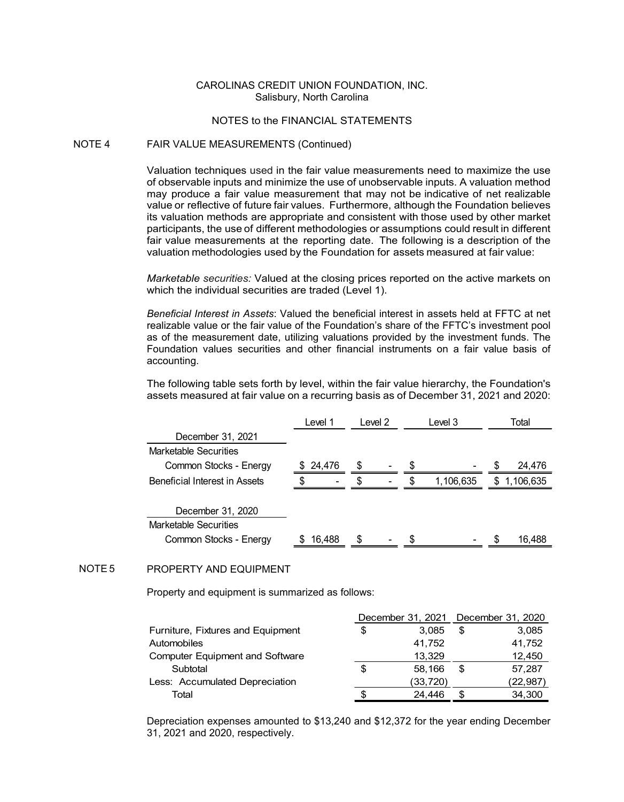# NOTES to the FINANCIAL STATEMENTS

### NOTE 4 FAIR VALUE MEASUREMENTS (Continued)

Valuation techniques used in the fair value measurements need to maximize the use of observable inputs and minimize the use of unobservable inputs. A valuation method may produce a fair value measurement that may not be indicative of net realizable value or reflective of future fair values. Furthermore, although the Foundation believes its valuation methods are appropriate and consistent with those used by other market participants, the use of different methodologies or assumptions could result in different fair value measurements at the reporting date. The following is a description of the valuation methodologies used by the Foundation for assets measured at fair value:

*Marketable securities:* Valued at the closing prices reported on the active markets on which the individual securities are traded (Level 1).

*Beneficial Interest in Assets*: Valued the beneficial interest in assets held at FFTC at net realizable value or the fair value of the Foundation's share of the FFTC's investment pool as of the measurement date, utilizing valuations provided by the investment funds. The Foundation values securities and other financial instruments on a fair value basis of accounting.

The following table sets forth by level, within the fair value hierarchy, the Foundation's assets measured at fair value on a recurring basis as of December 31, 2021 and 2020:

|                               | _evel 1 | evel 2_ |   |    | Level 3   |    | Total     |
|-------------------------------|---------|---------|---|----|-----------|----|-----------|
| December 31, 2021             |         |         |   |    |           |    |           |
| <b>Marketable Securities</b>  |         |         |   |    |           |    |           |
| Common Stocks - Energy        | 24,476  | S       |   | S  | ۰         | S  | 24,476    |
| Beneficial Interest in Assets | -       |         |   | S  | 1,106,635 | S  | 1,106,635 |
|                               |         |         |   |    |           |    |           |
| December 31, 2020             |         |         |   |    |           |    |           |
| <b>Marketable Securities</b>  |         |         |   |    |           |    |           |
| Common Stocks - Energy        | 16.488  | \$.     | ۰ | -S | ۰         | ß. | 16,488    |
|                               |         |         |   |    |           |    |           |

# NOTE 5 PROPERTY AND EQUIPMENT

Property and equipment is summarized as follows:

|                                        |              |     | December 31, 2021 December 31, 2020 |
|----------------------------------------|--------------|-----|-------------------------------------|
| Furniture, Fixtures and Equipment      | \$<br>3.085  | S   | 3,085                               |
| Automobiles                            | 41,752       |     | 41,752                              |
| <b>Computer Equipment and Software</b> | 13,329       |     | 12,450                              |
| Subtotal                               | \$<br>58.166 | \$. | 57,287                              |
| Less: Accumulated Depreciation         | (33,720)     |     | (22,987)                            |
| Total                                  | 24.446       |     | 34,300                              |

Depreciation expenses amounted to \$13,240 and \$12,372 for the year ending December 31, 2021 and 2020, respectively.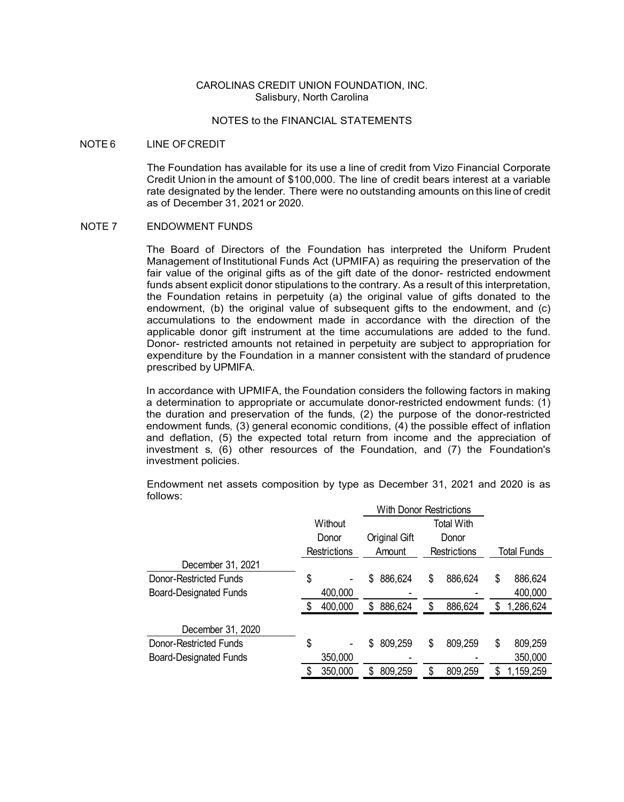# NOTES to the FINANCIAL STATEMENTS

# NOTE 6 LINE OF CREDIT

The Foundation has available for its use a line of credit from Vizo Financial Corporate Credit Unionin the amount of \$100,000. The line of credit bears interest at a variable rate designated by the lender. There were no outstanding amounts on this line of credit as of December 31, 2021or 2020.

### NOTE 7 ENDOWMENT FUNDS

The Board of Directors of the Foundation has interpreted the Uniform Prudent Management ofInstitutional Funds Act (UPMIFA) as requiring the preservation of the fair value of the original gifts as of the gift date of the donor- restricted endowment funds absent explicit donor stipulations to the contrary. As a result of this interpretation, the Foundation retains in perpetuity (a) the original value of gifts donated to the endowment, (b) the original value of subsequent gifts to the endowment, and (c) accumulations to the endowment made in accordance with the direction of the applicable donor gift instrument at the time accumulations are added to the fund. Donor- restricted amounts not retained in perpetuity are subject to appropriation for expenditure by the Foundation in a manner consistent with the standard of prudence prescribed by UPMIFA.

In accordance with UPMIFA, the Foundation considers the following factors in making a determination to appropriate or accumulate donor-restricted endowment funds: (1) the duration and preservation of the funds, (2) the purpose of the donor-restricted endowment funds, (3) general economic conditions, (4) the possible effect of inflation and deflation, (5) the expected total return from income and the appreciation of investment s, (6) other resources of the Foundation, and (7) the Foundation's investment policies.

|                               |               |   | <b>With Donor Restrictions</b> |    |                   |    |                    |
|-------------------------------|---------------|---|--------------------------------|----|-------------------|----|--------------------|
|                               | Without       |   |                                |    | <b>Total With</b> |    |                    |
|                               | Donor         |   | Original Gift                  |    | Donor             |    |                    |
|                               | Restrictions  |   | Amount                         |    | Restrictions      |    | <b>Total Funds</b> |
| December 31, 2021             |               |   |                                |    |                   |    |                    |
| Donor-Restricted Funds        | \$<br>-       | S | 886,624                        | \$ | 886,624           | \$ | 886,624            |
| <b>Board-Designated Funds</b> | 400,000       |   |                                |    |                   |    | 400,000            |
|                               | 400,000       | S | 886,624                        | \$ | 886,624           | S  | 1,286,624          |
| December 31, 2020             |               |   |                                |    |                   |    |                    |
| Donor-Restricted Funds        | \$            | S | 809,259                        | \$ | 809,259           | \$ | 809,259            |
| <b>Board-Designated Funds</b> | 350,000       |   |                                |    |                   |    | 350,000            |
|                               | \$<br>350,000 | S | 809,259                        | \$ | 809,259           | S  | 1,159,259          |

Endowment net assets composition by type as December 31, 2021 and 2020 is as follows: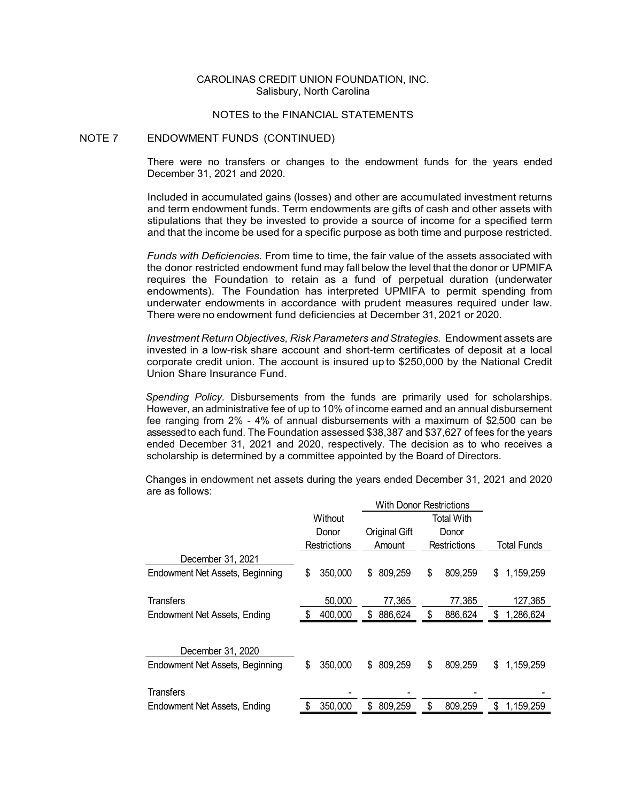### NOTES to the FINANCIAL STATEMENTS

### NOTE 7 ENDOWMENT FUNDS (CONTINUED)

There were no transfers or changes to the endowment funds for the years ended December 31, 2021 and 2020.

Included in accumulated gains (losses) and other are accumulated investment returns and term endowment funds. Term endowments are gifts of cash and other assets with stipulations that they be invested to provide a source of income for a specified term and that the income be used for a specific purpose as both time and purpose restricted.

*Funds with Deficiencies.* From time to time, the fair value of the assets associated with the donor restricted endowment fund may fall below the level that the donor or UPMIFA requires the Foundation to retain as a fund of perpetual duration (underwater endowments). The Foundation has interpreted UPMIFA to permit spending from underwater endowments in accordance with prudent measures required under law. There were no endowment fund deficiencies at December 31, 2021 or 2020.

*Investment ReturnObjectives, Risk Parameters andStrategies.* Endowment assets are invested in a low-risk share account and short-term certificates of deposit at a local corporate credit union. The account is insured upto \$250,000 by the National Credit Union Share Insurance Fund.

*Spending Policy.* Disbursements from the funds are primarily used for scholarships. However, an administrative fee of up to 10% of income earned and an annual disbursement fee ranging from 2% - 4% of annual disbursements with a maximum of \$2,500 can be assessed to each fund. The Foundation assessed \$38,387 and \$37,627 of fees for the years ended December 31, 2021 and 2020, respectively. The decision as to who receives a scholarship is determined by a committee appointed by the Board of Directors.

|                                 | Without |                        |     |               |              | <b>Total With</b> |                    |
|---------------------------------|---------|------------------------|-----|---------------|--------------|-------------------|--------------------|
|                                 |         | Donor                  |     | Original Gift | Donor        |                   |                    |
|                                 |         | Restrictions<br>Amount |     |               | Restrictions |                   | <b>Total Funds</b> |
| December 31, 2021               |         |                        |     |               |              |                   |                    |
| Endowment Net Assets, Beginning | \$      | 350,000                | \$. | 809,259       | \$           | 809,259           | \$<br>1,159,259    |
| <b>Transfers</b>                |         | 50,000                 |     | 77,365        |              | 77,365            | 127,365            |
| Endowment Net Assets, Ending    |         | 400,000                | \$  | 886,624       | \$           | 886,624           | \$<br>1,286,624    |
|                                 |         |                        |     |               |              |                   |                    |
| December 31, 2020               |         |                        |     |               |              |                   |                    |
| Endowment Net Assets, Beginning | \$      | 350,000                | \$. | 809,259       | \$           | 809,259           | \$<br>1,159,259    |
| Transfers                       |         |                        |     |               |              |                   |                    |
| Endowment Net Assets, Ending    |         | 350,000                | \$  | 809,259       | \$           | 809,259           | \$<br>1,159,259    |

Changes in endowment net assets during the years ended December 31, 2021 and 2020 are as follows: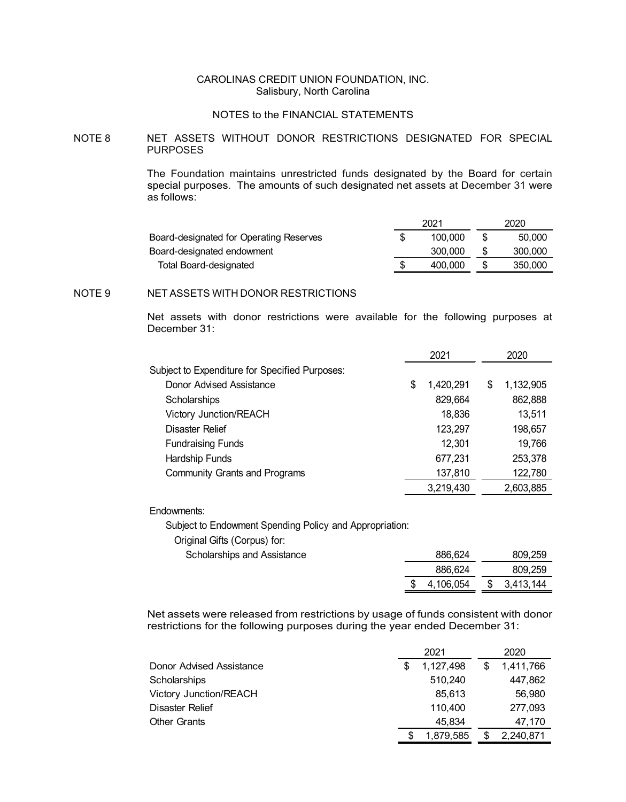### NOTES to the FINANCIAL STATEMENTS

# NOTE 8 NET ASSETS WITHOUT DONOR RESTRICTIONS DESIGNATED FOR SPECIAL PURPOSES

The Foundation maintains unrestricted funds designated by the Board for certain special purposes. The amounts of such designated net assets at December 31 were as follows:

|                                         | 2021 |         | 2020 |         |
|-----------------------------------------|------|---------|------|---------|
| Board-designated for Operating Reserves |      | 100.000 |      | 50,000  |
| Board-designated endowment              |      | 300,000 |      | 300,000 |
| Total Board-designated                  |      | 400.000 |      | 350,000 |

# NOTE 9 NET ASSETS WITH DONOR RESTRICTIONS

Net assets with donor restrictions were available for the following purposes at December 31:

|                                                | 2021 |           | 2020            |  |
|------------------------------------------------|------|-----------|-----------------|--|
| Subject to Expenditure for Specified Purposes: |      |           |                 |  |
| Donor Advised Assistance                       | S    | 1,420,291 | \$<br>1,132,905 |  |
| Scholarships                                   |      | 829,664   | 862,888         |  |
| <b>Victory Junction/REACH</b>                  |      | 18,836    | 13,511          |  |
| Disaster Relief                                |      | 123,297   | 198,657         |  |
| <b>Fundraising Funds</b>                       |      | 12,301    | 19,766          |  |
| Hardship Funds                                 |      | 677,231   | 253,378         |  |
| Community Grants and Programs                  |      | 137,810   | 122,780         |  |
|                                                |      | 3,219,430 | 2,603,885       |  |

# Endowments:

Subject to Endowment Spending Policy and Appropriation:

Original Gifts (Corpus) for:

| Scholarships and Assistance | 886.624     | 809.259      |
|-----------------------------|-------------|--------------|
|                             | 886.624     | 809.259      |
|                             | \$4.106.054 | \$ 3.413.144 |

Net assets were released from restrictions by usage of funds consistent with donor restrictions for the following purposes during the year ended December 31:

|                          |   | 2021      | 2020      |
|--------------------------|---|-----------|-----------|
| Donor Advised Assistance | S | 1,127,498 | 1,411,766 |
| Scholarships             |   | 510,240   | 447,862   |
| Victory Junction/REACH   |   | 85.613    | 56,980    |
| Disaster Relief          |   | 110.400   | 277,093   |
| <b>Other Grants</b>      |   | 45.834    | 47,170    |
|                          |   | 1.879.585 | 2,240,871 |